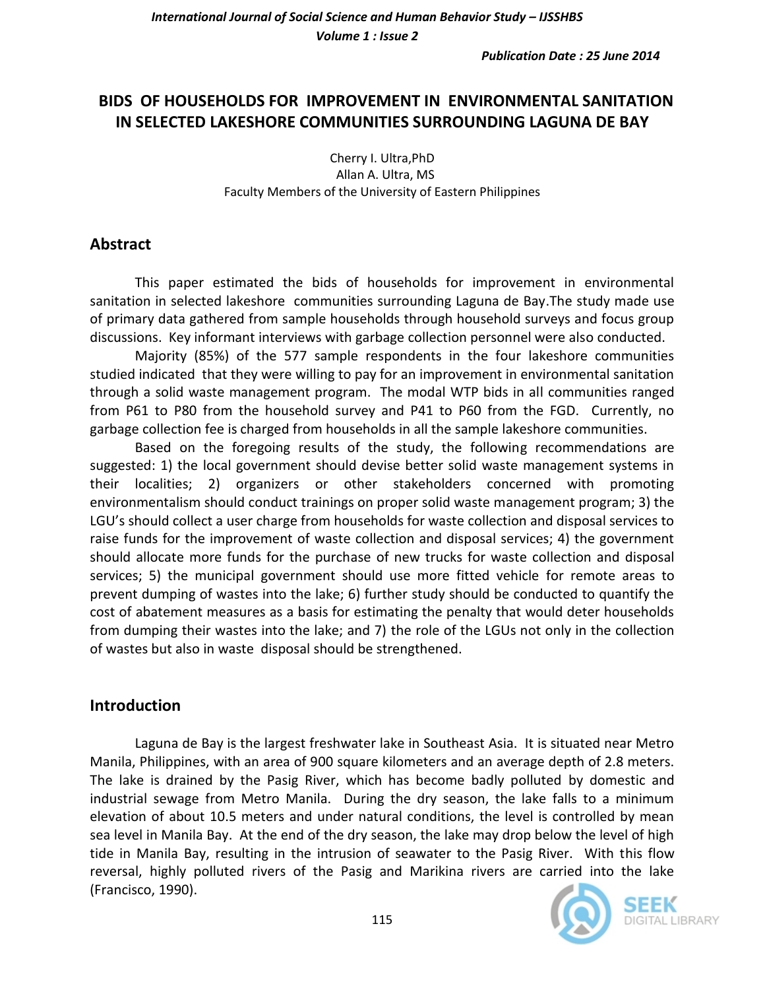# **BIDS OF HOUSEHOLDS FOR IMPROVEMENT IN ENVIRONMENTAL SANITATION IN SELECTED LAKESHORE COMMUNITIES SURROUNDING LAGUNA DE BAY**

Cherry I. Ultra,PhD Allan A. Ultra, MS Faculty Members of the University of Eastern Philippines

## **Abstract**

This paper estimated the bids of households for improvement in environmental sanitation in selected lakeshore communities surrounding Laguna de Bay.The study made use of primary data gathered from sample households through household surveys and focus group discussions. Key informant interviews with garbage collection personnel were also conducted.

Majority (85%) of the 577 sample respondents in the four lakeshore communities studied indicated that they were willing to pay for an improvement in environmental sanitation through a solid waste management program. The modal WTP bids in all communities ranged from P61 to P80 from the household survey and P41 to P60 from the FGD. Currently, no garbage collection fee is charged from households in all the sample lakeshore communities.

Based on the foregoing results of the study, the following recommendations are suggested: 1) the local government should devise better solid waste management systems in their localities; 2) organizers or other stakeholders concerned with promoting environmentalism should conduct trainings on proper solid waste management program; 3) the LGU's should collect a user charge from households for waste collection and disposal services to raise funds for the improvement of waste collection and disposal services; 4) the government should allocate more funds for the purchase of new trucks for waste collection and disposal services; 5) the municipal government should use more fitted vehicle for remote areas to prevent dumping of wastes into the lake; 6) further study should be conducted to quantify the cost of abatement measures as a basis for estimating the penalty that would deter households from dumping their wastes into the lake; and 7) the role of the LGUs not only in the collection of wastes but also in waste disposal should be strengthened.

### **Introduction**

Laguna de Bay is the largest freshwater lake in Southeast Asia. It is situated near Metro Manila, Philippines, with an area of 900 square kilometers and an average depth of 2.8 meters. The lake is drained by the Pasig River, which has become badly polluted by domestic and industrial sewage from Metro Manila. During the dry season, the lake falls to a minimum elevation of about 10.5 meters and under natural conditions, the level is controlled by mean sea level in Manila Bay. At the end of the dry season, the lake may drop below the level of high tide in Manila Bay, resulting in the intrusion of seawater to the Pasig River. With this flow reversal, highly polluted rivers of the Pasig and Marikina rivers are carried into the lake (Francisco, 1990).

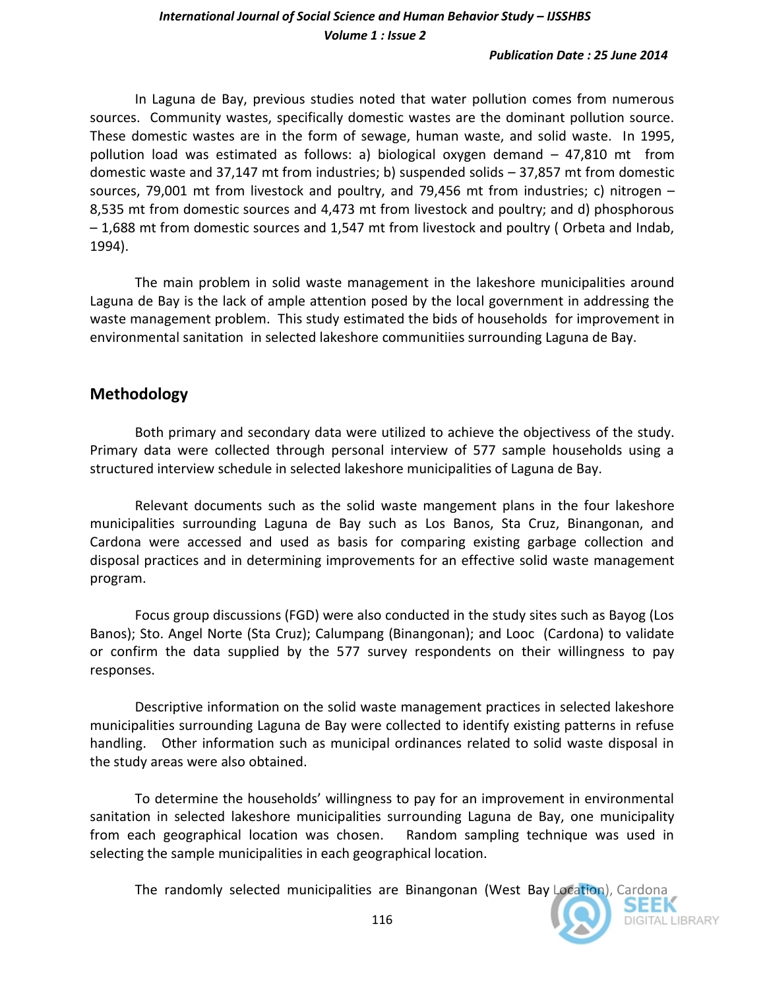#### *Publication Date : 25 June 2014*

In Laguna de Bay, previous studies noted that water pollution comes from numerous sources. Community wastes, specifically domestic wastes are the dominant pollution source. These domestic wastes are in the form of sewage, human waste, and solid waste. In 1995, pollution load was estimated as follows: a) biological oxygen demand – 47,810 mt from domestic waste and 37,147 mt from industries; b) suspended solids – 37,857 mt from domestic sources, 79,001 mt from livestock and poultry, and 79,456 mt from industries; c) nitrogen – 8,535 mt from domestic sources and 4,473 mt from livestock and poultry; and d) phosphorous – 1,688 mt from domestic sources and 1,547 mt from livestock and poultry ( Orbeta and Indab, 1994).

The main problem in solid waste management in the lakeshore municipalities around Laguna de Bay is the lack of ample attention posed by the local government in addressing the waste management problem. This study estimated the bids of households for improvement in environmental sanitation in selected lakeshore communitiies surrounding Laguna de Bay.

# **Methodology**

Both primary and secondary data were utilized to achieve the objectivess of the study. Primary data were collected through personal interview of 577 sample households using a structured interview schedule in selected lakeshore municipalities of Laguna de Bay.

Relevant documents such as the solid waste mangement plans in the four lakeshore municipalities surrounding Laguna de Bay such as Los Banos, Sta Cruz, Binangonan, and Cardona were accessed and used as basis for comparing existing garbage collection and disposal practices and in determining improvements for an effective solid waste management program.

Focus group discussions (FGD) were also conducted in the study sites such as Bayog (Los Banos); Sto. Angel Norte (Sta Cruz); Calumpang (Binangonan); and Looc (Cardona) to validate or confirm the data supplied by the 577 survey respondents on their willingness to pay responses.

Descriptive information on the solid waste management practices in selected lakeshore municipalities surrounding Laguna de Bay were collected to identify existing patterns in refuse handling. Other information such as municipal ordinances related to solid waste disposal in the study areas were also obtained.

To determine the households' willingness to pay for an improvement in environmental sanitation in selected lakeshore municipalities surrounding Laguna de Bay, one municipality from each geographical location was chosen. Random sampling technique was used in selecting the sample municipalities in each geographical location.

The randomly selected municipalities are Binangonan (West Bay Location), Cardona

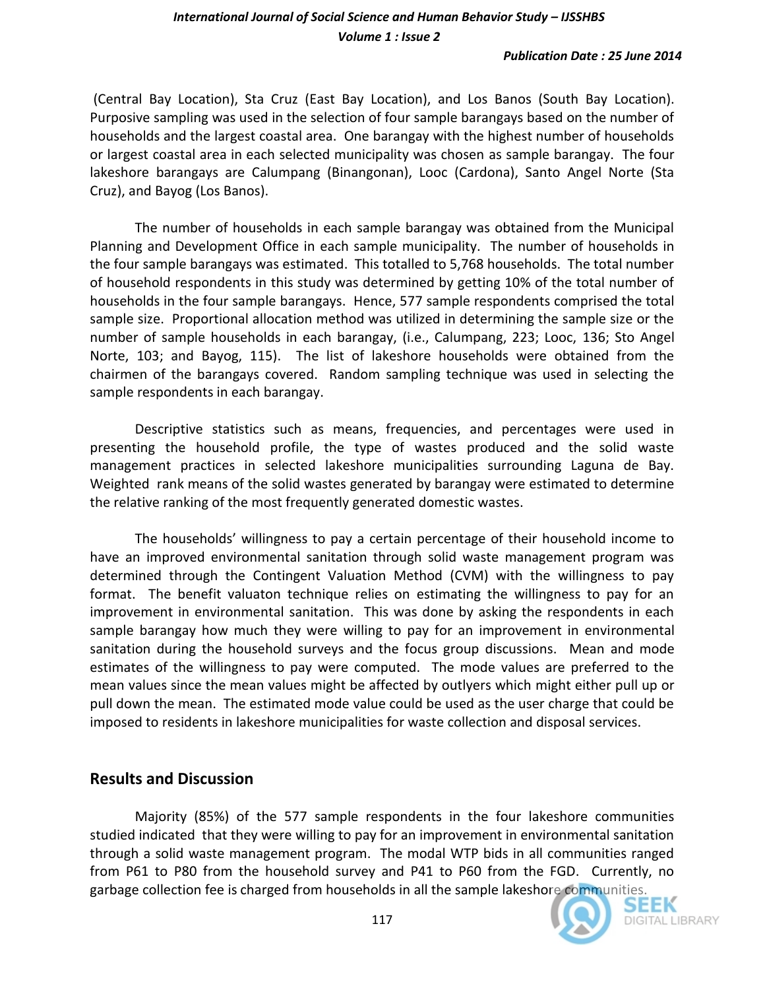## **International Journal of Social Science and Human Behavior Study – IJSSHBS** *Volume 1 : Issue 2*

(Central Bay Location), Sta Cruz (East Bay Location), and Los Banos (South Bay Location). Purposive sampling was used in the selection of four sample barangays based on the number of households and the largest coastal area. One barangay with the highest number of households or largest coastal area in each selected municipality was chosen as sample barangay. The four lakeshore barangays are Calumpang (Binangonan), Looc (Cardona), Santo Angel Norte (Sta Cruz), and Bayog (Los Banos).

The number of households in each sample barangay was obtained from the Municipal Planning and Development Office in each sample municipality. The number of households in the four sample barangays was estimated. This totalled to 5,768 households. The total number of household respondents in this study was determined by getting 10% of the total number of households in the four sample barangays. Hence, 577 sample respondents comprised the total sample size. Proportional allocation method was utilized in determining the sample size or the number of sample households in each barangay, (i.e., Calumpang, 223; Looc, 136; Sto Angel Norte, 103; and Bayog, 115). The list of lakeshore households were obtained from the chairmen of the barangays covered. Random sampling technique was used in selecting the sample respondents in each barangay.

Descriptive statistics such as means, frequencies, and percentages were used in presenting the household profile, the type of wastes produced and the solid waste management practices in selected lakeshore municipalities surrounding Laguna de Bay. Weighted rank means of the solid wastes generated by barangay were estimated to determine the relative ranking of the most frequently generated domestic wastes.

The households' willingness to pay a certain percentage of their household income to have an improved environmental sanitation through solid waste management program was determined through the Contingent Valuation Method (CVM) with the willingness to pay format. The benefit valuaton technique relies on estimating the willingness to pay for an improvement in environmental sanitation. This was done by asking the respondents in each sample barangay how much they were willing to pay for an improvement in environmental sanitation during the household surveys and the focus group discussions. Mean and mode estimates of the willingness to pay were computed. The mode values are preferred to the mean values since the mean values might be affected by outlyers which might either pull up or pull down the mean. The estimated mode value could be used as the user charge that could be imposed to residents in lakeshore municipalities for waste collection and disposal services.

### **Results and Discussion**

Majority (85%) of the 577 sample respondents in the four lakeshore communities studied indicated that they were willing to pay for an improvement in environmental sanitation through a solid waste management program. The modal WTP bids in all communities ranged from P61 to P80 from the household survey and P41 to P60 from the FGD. Currently, no garbage collection fee is charged from households in all the sample lakeshore communities.<br>SEEM

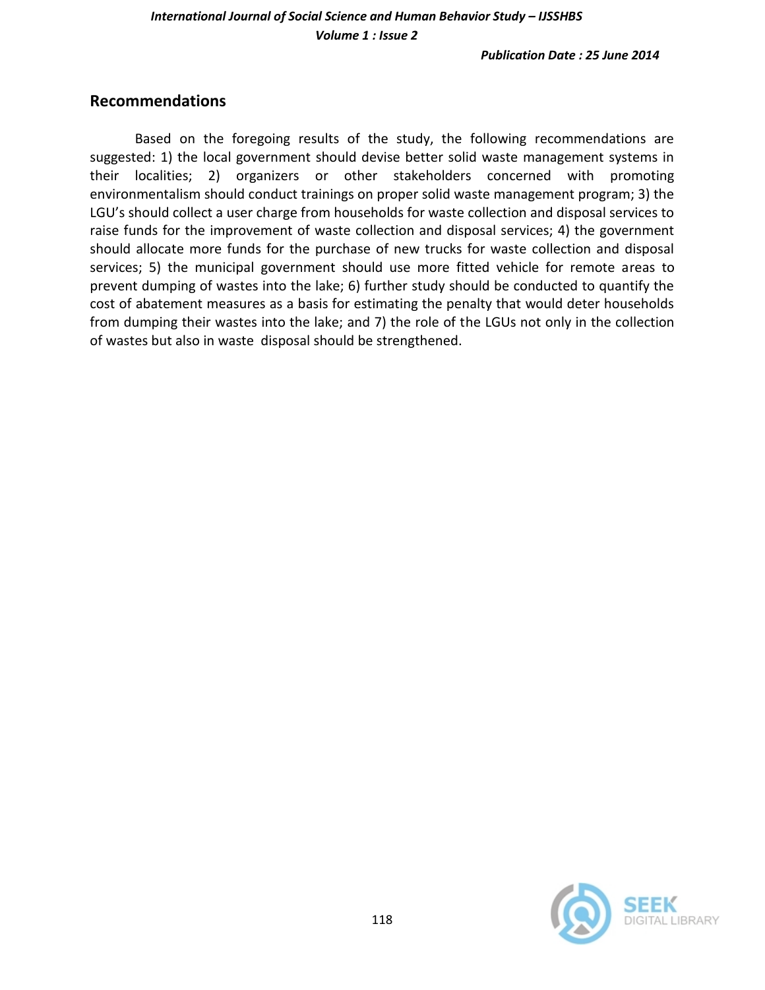## **Recommendations**

Based on the foregoing results of the study, the following recommendations are suggested: 1) the local government should devise better solid waste management systems in their localities; 2) organizers or other stakeholders concerned with promoting environmentalism should conduct trainings on proper solid waste management program; 3) the LGU's should collect a user charge from households for waste collection and disposal services to raise funds for the improvement of waste collection and disposal services; 4) the government should allocate more funds for the purchase of new trucks for waste collection and disposal services; 5) the municipal government should use more fitted vehicle for remote areas to prevent dumping of wastes into the lake; 6) further study should be conducted to quantify the cost of abatement measures as a basis for estimating the penalty that would deter households from dumping their wastes into the lake; and 7) the role of the LGUs not only in the collection of wastes but also in waste disposal should be strengthened.